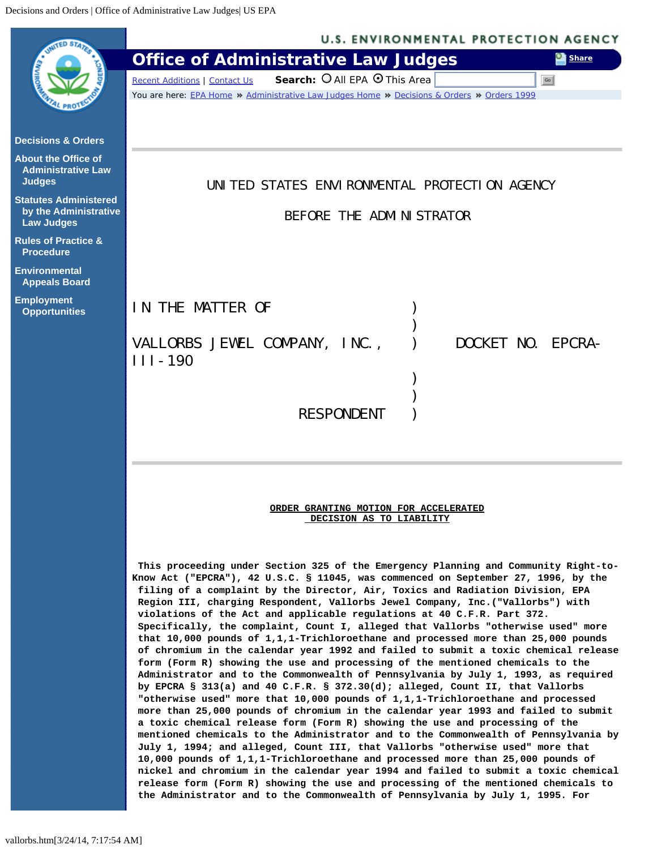<span id="page-0-0"></span>

|                                                                            | <b>U.S. ENVIRONMENTAL PROTECTION AGENCY</b>                                                                                                                                                                                                                                                                                                                                                                                                                                                                                                                                                                                                                                                                                                                                                                                                                                                                                                                                                                                                                                                                                                                                                                                                                                                                                                                                                                                                                                                                                                                                                                                                                                                                                             |
|----------------------------------------------------------------------------|-----------------------------------------------------------------------------------------------------------------------------------------------------------------------------------------------------------------------------------------------------------------------------------------------------------------------------------------------------------------------------------------------------------------------------------------------------------------------------------------------------------------------------------------------------------------------------------------------------------------------------------------------------------------------------------------------------------------------------------------------------------------------------------------------------------------------------------------------------------------------------------------------------------------------------------------------------------------------------------------------------------------------------------------------------------------------------------------------------------------------------------------------------------------------------------------------------------------------------------------------------------------------------------------------------------------------------------------------------------------------------------------------------------------------------------------------------------------------------------------------------------------------------------------------------------------------------------------------------------------------------------------------------------------------------------------------------------------------------------------|
|                                                                            | <b>Office of Administrative Law Judges</b><br>Share                                                                                                                                                                                                                                                                                                                                                                                                                                                                                                                                                                                                                                                                                                                                                                                                                                                                                                                                                                                                                                                                                                                                                                                                                                                                                                                                                                                                                                                                                                                                                                                                                                                                                     |
|                                                                            | Search: O All EPA O This Area<br>Go<br><b>Recent Additions   Contact Us</b>                                                                                                                                                                                                                                                                                                                                                                                                                                                                                                                                                                                                                                                                                                                                                                                                                                                                                                                                                                                                                                                                                                                                                                                                                                                                                                                                                                                                                                                                                                                                                                                                                                                             |
|                                                                            | You are here: EPA Home * Administrative Law Judges Home * Decisions & Orders * Orders 1999                                                                                                                                                                                                                                                                                                                                                                                                                                                                                                                                                                                                                                                                                                                                                                                                                                                                                                                                                                                                                                                                                                                                                                                                                                                                                                                                                                                                                                                                                                                                                                                                                                              |
| <b>Decisions &amp; Orders</b>                                              |                                                                                                                                                                                                                                                                                                                                                                                                                                                                                                                                                                                                                                                                                                                                                                                                                                                                                                                                                                                                                                                                                                                                                                                                                                                                                                                                                                                                                                                                                                                                                                                                                                                                                                                                         |
| <b>About the Office of</b><br><b>Administrative Law</b><br><b>Judges</b>   | UNITED STATES ENVIRONMENTAL PROTECTION AGENCY                                                                                                                                                                                                                                                                                                                                                                                                                                                                                                                                                                                                                                                                                                                                                                                                                                                                                                                                                                                                                                                                                                                                                                                                                                                                                                                                                                                                                                                                                                                                                                                                                                                                                           |
| <b>Statutes Administered</b><br>by the Administrative<br><b>Law Judges</b> | BEFORE THE ADMINISTRATOR                                                                                                                                                                                                                                                                                                                                                                                                                                                                                                                                                                                                                                                                                                                                                                                                                                                                                                                                                                                                                                                                                                                                                                                                                                                                                                                                                                                                                                                                                                                                                                                                                                                                                                                |
| <b>Rules of Practice &amp;</b><br><b>Procedure</b>                         |                                                                                                                                                                                                                                                                                                                                                                                                                                                                                                                                                                                                                                                                                                                                                                                                                                                                                                                                                                                                                                                                                                                                                                                                                                                                                                                                                                                                                                                                                                                                                                                                                                                                                                                                         |
| Environmental<br><b>Appeals Board</b>                                      |                                                                                                                                                                                                                                                                                                                                                                                                                                                                                                                                                                                                                                                                                                                                                                                                                                                                                                                                                                                                                                                                                                                                                                                                                                                                                                                                                                                                                                                                                                                                                                                                                                                                                                                                         |
| <b>Employment</b><br><b>Opportunities</b>                                  | IN THE MATTER OF                                                                                                                                                                                                                                                                                                                                                                                                                                                                                                                                                                                                                                                                                                                                                                                                                                                                                                                                                                                                                                                                                                                                                                                                                                                                                                                                                                                                                                                                                                                                                                                                                                                                                                                        |
|                                                                            | VALLORBS JEWEL COMPANY, INC.,<br>DOCKET NO. EPCRA-<br>$III - 190$                                                                                                                                                                                                                                                                                                                                                                                                                                                                                                                                                                                                                                                                                                                                                                                                                                                                                                                                                                                                                                                                                                                                                                                                                                                                                                                                                                                                                                                                                                                                                                                                                                                                       |
|                                                                            |                                                                                                                                                                                                                                                                                                                                                                                                                                                                                                                                                                                                                                                                                                                                                                                                                                                                                                                                                                                                                                                                                                                                                                                                                                                                                                                                                                                                                                                                                                                                                                                                                                                                                                                                         |
|                                                                            |                                                                                                                                                                                                                                                                                                                                                                                                                                                                                                                                                                                                                                                                                                                                                                                                                                                                                                                                                                                                                                                                                                                                                                                                                                                                                                                                                                                                                                                                                                                                                                                                                                                                                                                                         |
|                                                                            | <b>RESPONDENT</b>                                                                                                                                                                                                                                                                                                                                                                                                                                                                                                                                                                                                                                                                                                                                                                                                                                                                                                                                                                                                                                                                                                                                                                                                                                                                                                                                                                                                                                                                                                                                                                                                                                                                                                                       |
|                                                                            | ORDER GRANTING MOTION FOR ACCELERATED<br>DECISION AS TO LIABILITY                                                                                                                                                                                                                                                                                                                                                                                                                                                                                                                                                                                                                                                                                                                                                                                                                                                                                                                                                                                                                                                                                                                                                                                                                                                                                                                                                                                                                                                                                                                                                                                                                                                                       |
|                                                                            | This proceeding under Section 325 of the Emergency Planning and Community Right-to-<br>Know Act ("EPCRA"), 42 U.S.C. § 11045, was commenced on September 27, 1996, by the<br>filing of a complaint by the Director, Air, Toxics and Radiation Division, EPA<br>Region III, charging Respondent, Vallorbs Jewel Company, Inc. ("Vallorbs") with<br>violations of the Act and applicable regulations at 40 C.F.R. Part 372.<br>Specifically, the complaint, Count I, alleged that Vallorbs "otherwise used" more<br>that 10,000 pounds of 1,1,1-Trichloroethane and processed more than 25,000 pounds<br>of chromium in the calendar year 1992 and failed to submit a toxic chemical release<br>form (Form R) showing the use and processing of the mentioned chemicals to the<br>Administrator and to the Commonwealth of Pennsylvania by July 1, 1993, as required<br>by EPCRA § 313(a) and 40 C.F.R. § 372.30(d); alleged, Count II, that Vallorbs<br>"otherwise used" more that 10,000 pounds of 1,1,1-Trichloroethane and processed<br>more than 25,000 pounds of chromium in the calendar year 1993 and failed to submit<br>a toxic chemical release form (Form R) showing the use and processing of the<br>mentioned chemicals to the Administrator and to the Commonwealth of Pennsylvania by<br>July 1, 1994; and alleged, Count III, that Vallorbs "otherwise used" more that<br>10,000 pounds of 1,1,1-Trichloroethane and processed more than 25,000 pounds of<br>nickel and chromium in the calendar year 1994 and failed to submit a toxic chemical<br>release form (Form R) showing the use and processing of the mentioned chemicals to<br>the Administrator and to the Commonwealth of Pennsylvania by July 1, 1995. For |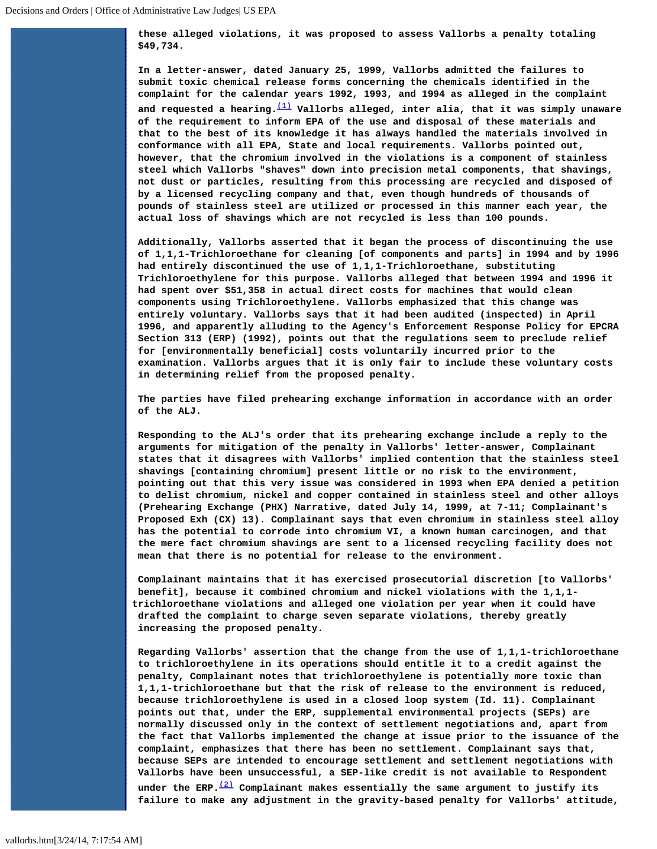**these alleged violations, it was proposed to assess Vallorbs a penalty totaling \$49,734.**

**In a letter-answer, dated January 25, 1999, Vallorbs admitted the failures to submit toxic chemical release forms concerning the chemicals identified in the complaint for the calendar years 1992, 1993, and 1994 as alleged in the complaint and requested a hearing.[\(1\)](#page-3-0) Vallorbs alleged, inter alia, that it was simply unaware of the requirement to inform EPA of the use and disposal of these materials and that to the best of its knowledge it has always handled the materials involved in conformance with all EPA, State and local requirements. Vallorbs pointed out, however, that the chromium involved in the violations is a component of stainless steel which Vallorbs "shaves" down into precision metal components, that shavings, not dust or particles, resulting from this processing are recycled and disposed of by a licensed recycling company and that, even though hundreds of thousands of pounds of stainless steel are utilized or processed in this manner each year, the actual loss of shavings which are not recycled is less than 100 pounds.**

**Additionally, Vallorbs asserted that it began the process of discontinuing the use of 1,1,1-Trichloroethane for cleaning [of components and parts] in 1994 and by 1996 had entirely discontinued the use of 1,1,1-Trichloroethane, substituting Trichloroethylene for this purpose. Vallorbs alleged that between 1994 and 1996 it had spent over \$51,358 in actual direct costs for machines that would clean components using Trichloroethylene. Vallorbs emphasized that this change was entirely voluntary. Vallorbs says that it had been audited (inspected) in April 1996, and apparently alluding to the Agency's Enforcement Response Policy for EPCRA Section 313 (ERP) (1992), points out that the regulations seem to preclude relief for [environmentally beneficial] costs voluntarily incurred prior to the examination. Vallorbs argues that it is only fair to include these voluntary costs in determining relief from the proposed penalty.**

**The parties have filed prehearing exchange information in accordance with an order of the ALJ.**

**Responding to the ALJ's order that its prehearing exchange include a reply to the arguments for mitigation of the penalty in Vallorbs' letter-answer, Complainant states that it disagrees with Vallorbs' implied contention that the stainless steel shavings [containing chromium] present little or no risk to the environment, pointing out that this very issue was considered in 1993 when EPA denied a petition to delist chromium, nickel and copper contained in stainless steel and other alloys (Prehearing Exchange (PHX) Narrative, dated July 14, 1999, at 7-11; Complainant's Proposed Exh (CX) 13). Complainant says that even chromium in stainless steel alloy has the potential to corrode into chromium VI, a known human carcinogen, and that the mere fact chromium shavings are sent to a licensed recycling facility does not mean that there is no potential for release to the environment.**

**Complainant maintains that it has exercised prosecutorial discretion [to Vallorbs' benefit], because it combined chromium and nickel violations with the 1,1,1 trichloroethane violations and alleged one violation per year when it could have drafted the complaint to charge seven separate violations, thereby greatly increasing the proposed penalty.**

**Regarding Vallorbs' assertion that the change from the use of 1,1,1-trichloroethane to trichloroethylene in its operations should entitle it to a credit against the penalty, Complainant notes that trichloroethylene is potentially more toxic than 1,1,1-trichloroethane but that the risk of release to the environment is reduced, because trichloroethylene is used in a closed loop system (Id. 11). Complainant points out that, under the ERP, supplemental environmental projects (SEPs) are normally discussed only in the context of settlement negotiations and, apart from the fact that Vallorbs implemented the change at issue prior to the issuance of the complaint, emphasizes that there has been no settlement. Complainant says that, because SEPs are intended to encourage settlement and settlement negotiations with Vallorbs have been unsuccessful, a SEP-like credit is not available to Respondent under the ERP.[\(2\)](#page-3-1) Complainant makes essentially the same argument to justify its failure to make any adjustment in the gravity-based penalty for Vallorbs' attitude,**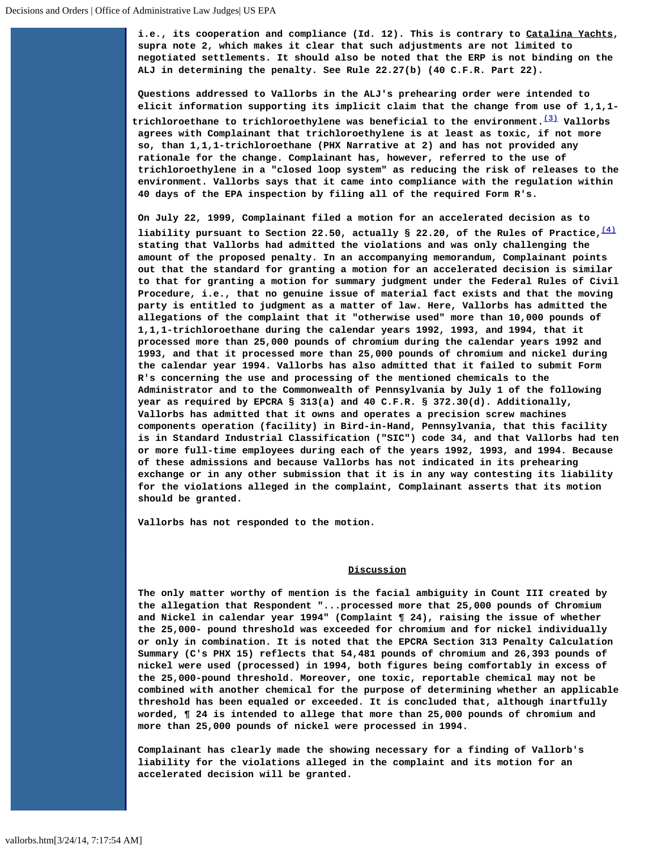**i.e., its cooperation and compliance (Id. 12). This is contrary to Catalina Yachts, supra note 2, which makes it clear that such adjustments are not limited to negotiated settlements. It should also be noted that the ERP is not binding on the ALJ in determining the penalty. See Rule 22.27(b) (40 C.F.R. Part 22).**

**Questions addressed to Vallorbs in the ALJ's prehearing order were intended to elicit information supporting its implicit claim that the change from use of 1,1,1 trichloroethane to trichloroethylene was beneficial to the environment.[\(3\)](#page-3-2) Vallorbs agrees with Complainant that trichloroethylene is at least as toxic, if not more so, than 1,1,1-trichloroethane (PHX Narrative at 2) and has not provided any rationale for the change. Complainant has, however, referred to the use of trichloroethylene in a "closed loop system" as reducing the risk of releases to the environment. Vallorbs says that it came into compliance with the regulation within 40 days of the EPA inspection by filing all of the required Form R's.**

**On July 22, 1999, Complainant filed a motion for an accelerated decision as to liability pursuant to Section 22.50, actually § 22.20, of the Rules of Practice,[\(4\)](#page-3-3) stating that Vallorbs had admitted the violations and was only challenging the amount of the proposed penalty. In an accompanying memorandum, Complainant points out that the standard for granting a motion for an accelerated decision is similar to that for granting a motion for summary judgment under the Federal Rules of Civil Procedure, i.e., that no genuine issue of material fact exists and that the moving party is entitled to judgment as a matter of law. Here, Vallorbs has admitted the allegations of the complaint that it "otherwise used" more than 10,000 pounds of 1,1,1-trichloroethane during the calendar years 1992, 1993, and 1994, that it processed more than 25,000 pounds of chromium during the calendar years 1992 and 1993, and that it processed more than 25,000 pounds of chromium and nickel during the calendar year 1994. Vallorbs has also admitted that it failed to submit Form R's concerning the use and processing of the mentioned chemicals to the Administrator and to the Commonwealth of Pennsylvania by July 1 of the following year as required by EPCRA § 313(a) and 40 C.F.R. § 372.30(d). Additionally, Vallorbs has admitted that it owns and operates a precision screw machines components operation (facility) in Bird-in-Hand, Pennsylvania, that this facility is in Standard Industrial Classification ("SIC") code 34, and that Vallorbs had ten or more full-time employees during each of the years 1992, 1993, and 1994. Because of these admissions and because Vallorbs has not indicated in its prehearing exchange or in any other submission that it is in any way contesting its liability for the violations alleged in the complaint, Complainant asserts that its motion should be granted.**

**Vallorbs has not responded to the motion.**

## **Discussion**

**The only matter worthy of mention is the facial ambiguity in Count III created by the allegation that Respondent "...processed more that 25,000 pounds of Chromium and Nickel in calendar year 1994" (Complaint ¶ 24), raising the issue of whether the 25,000- pound threshold was exceeded for chromium and for nickel individually or only in combination. It is noted that the EPCRA Section 313 Penalty Calculation Summary (C's PHX 15) reflects that 54,481 pounds of chromium and 26,393 pounds of nickel were used (processed) in 1994, both figures being comfortably in excess of the 25,000-pound threshold. Moreover, one toxic, reportable chemical may not be combined with another chemical for the purpose of determining whether an applicable threshold has been equaled or exceeded. It is concluded that, although inartfully worded, ¶ 24 is intended to allege that more than 25,000 pounds of chromium and more than 25,000 pounds of nickel were processed in 1994.**

**Complainant has clearly made the showing necessary for a finding of Vallorb's liability for the violations alleged in the complaint and its motion for an accelerated decision will be granted.**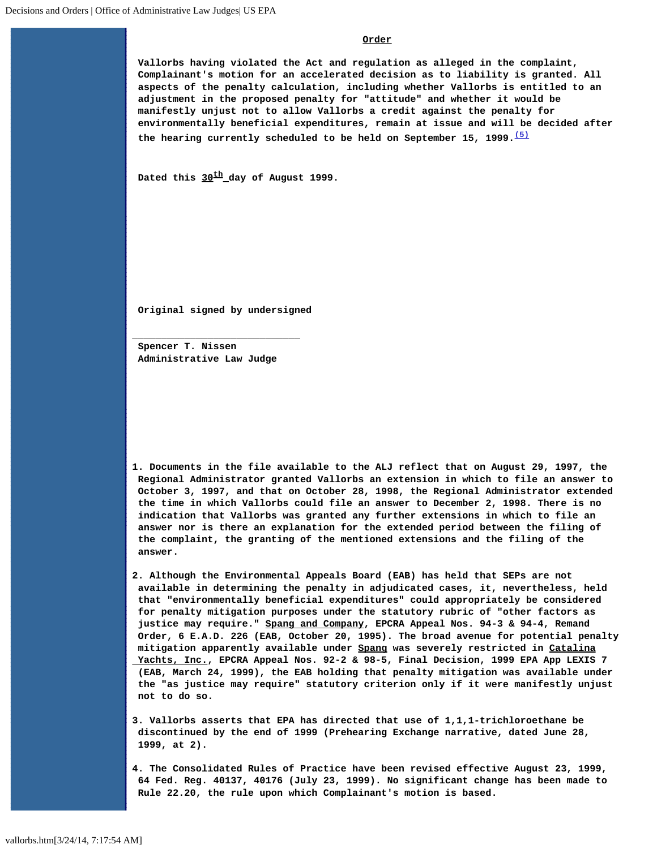## **Order**

**Vallorbs having violated the Act and regulation as alleged in the complaint, Complainant's motion for an accelerated decision as to liability is granted. All aspects of the penalty calculation, including whether Vallorbs is entitled to an adjustment in the proposed penalty for "attitude" and whether it would be manifestly unjust not to allow Vallorbs a credit against the penalty for environmentally beneficial expenditures, remain at issue and will be decided after the hearing currently scheduled to be held on September 15, 1999.[\(5\)](#page-4-0)**

**Dated this 30th day of August 1999.**

**Original signed by undersigned**

**Spencer T. Nissen Administrative Law Judge**

**\_\_\_\_\_\_\_\_\_\_\_\_\_\_\_\_\_\_\_\_\_\_\_\_\_\_\_\_\_**

<span id="page-3-0"></span>**1. Documents in the file available to the ALJ reflect that on August 29, 1997, the Regional Administrator granted Vallorbs an extension in which to file an answer to October 3, 1997, and that on October 28, 1998, the Regional Administrator extended the time in which Vallorbs could file an answer to December 2, 1998. There is no indication that Vallorbs was granted any further extensions in which to file an answer nor is there an explanation for the extended period between the filing of the complaint, the granting of the mentioned extensions and the filing of the answer.**

<span id="page-3-1"></span>**2. Although the Environmental Appeals Board (EAB) has held that SEPs are not available in determining the penalty in adjudicated cases, it, nevertheless, held that "environmentally beneficial expenditures" could appropriately be considered for penalty mitigation purposes under the statutory rubric of "other factors as justice may require." Spang and Company, EPCRA Appeal Nos. 94-3 & 94-4, Remand Order, 6 E.A.D. 226 (EAB, October 20, 1995). The broad avenue for potential penalty mitigation apparently available under Spang was severely restricted in Catalina Yachts, Inc., EPCRA Appeal Nos. 92-2 & 98-5, Final Decision, 1999 EPA App LEXIS 7 (EAB, March 24, 1999), the EAB holding that penalty mitigation was available under the "as justice may require" statutory criterion only if it were manifestly unjust not to do so.**

<span id="page-3-2"></span>**3. Vallorbs asserts that EPA has directed that use of 1,1,1-trichloroethane be discontinued by the end of 1999 (Prehearing Exchange narrative, dated June 28, 1999, at 2).**

<span id="page-3-3"></span>**4. The Consolidated Rules of Practice have been revised effective August 23, 1999, 64 Fed. Reg. 40137, 40176 (July 23, 1999). No significant change has been made to Rule 22.20, the rule upon which Complainant's motion is based.**